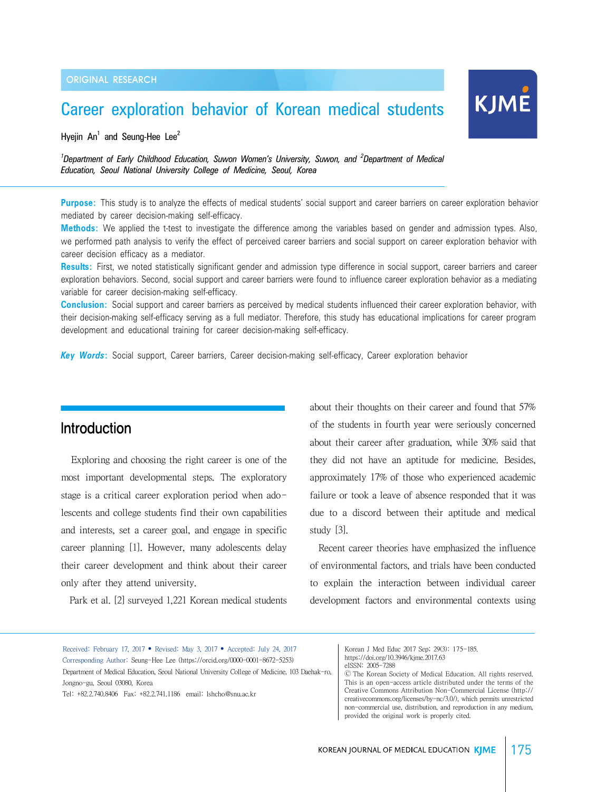# Career exploration behavior of Korean medical students

Hyejin  $An^1$  and Seung-Hee Lee<sup>2</sup>

<sup>1</sup>Department of Early Childhood Education, Suwon Women's University, Suwon, and <sup>2</sup>Department of Medical *Education, Seoul National University College of Medicine, Seoul, Korea*

**Purpose:** This study is to analyze the effects of medical students' social support and career barriers on career exploration behavior mediated by career decision-making self-efficacy.

**Methods:** We applied the t-test to investigate the difference among the variables based on gender and admission types. Also, we performed path analysis to verify the effect of perceived career barriers and social support on career exploration behavior with career decision efficacy as a mediator.

**Results:** First, we noted statistically significant gender and admission type difference in social support, career barriers and career exploration behaviors. Second, social support and career barriers were found to influence career exploration behavior as a mediating variable for career decision-making self-efficacy.

**Conclusion:** Social support and career barriers as perceived by medical students influenced their career exploration behavior, with their decision-making self-efficacy serving as a full mediator. Therefore, this study has educational implications for career program development and educational training for career decision-making self-efficacy.

*Key Words***:** Social support, Career barriers, Career decision-making self-efficacy, Career exploration behavior

## Introduction

Exploring and choosing the right career is one of the most important developmental steps. The exploratory stage is a critical career exploration period when adolescents and college students find their own capabilities and interests, set a career goal, and engage in specific career planning [1]. However, many adolescents delay their career development and think about their career only after they attend university.

Park et al. [2] surveyed 1,221 Korean medical students

about their thoughts on their career and found that 57% of the students in fourth year were seriously concerned about their career after graduation, while 30% said that they did not have an aptitude for medicine. Besides, approximately 17% of those who experienced academic failure or took a leave of absence responded that it was due to a discord between their aptitude and medical study [3].

KJME

 Recent career theories have emphasized the influence of environmental factors, and trials have been conducted to explain the interaction between individual career development factors and environmental contexts using

Korean J Med Educ 2017 Sep; 29(3): 175-185. https://doi.org/10.3946/kjme.2017.63

Ⓒ The Korean Society of Medical Education. All rights reserved. This is an open-access article distributed under the terms of the Creative Commons Attribution Non-Commercial License (http:// creativecommons.org/licenses/by-nc/3.0/), which permits unrestricted non-commercial use, distribution, and reproduction in any medium, provided the original work is properly cited.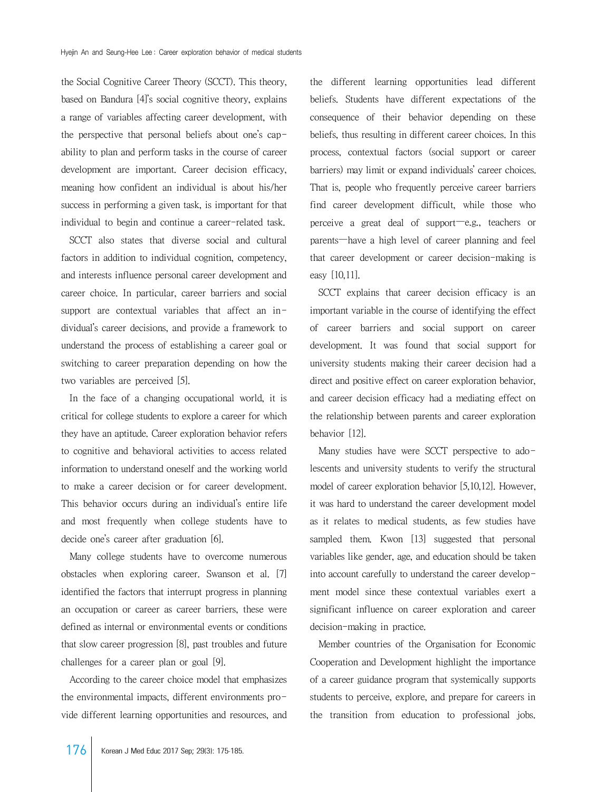the Social Cognitive Career Theory (SCCT). This theory, based on Bandura [4]'s social cognitive theory, explains a range of variables affecting career development, with the perspective that personal beliefs about one's capability to plan and perform tasks in the course of career development are important. Career decision efficacy, meaning how confident an individual is about his/her success in performing a given task, is important for that individual to begin and continue a career-related task.

 SCCT also states that diverse social and cultural factors in addition to individual cognition, competency, and interests influence personal career development and career choice. In particular, career barriers and social support are contextual variables that affect an individual's career decisions, and provide a framework to understand the process of establishing a career goal or switching to career preparation depending on how the two variables are perceived [5].

 In the face of a changing occupational world, it is critical for college students to explore a career for which they have an aptitude. Career exploration behavior refers to cognitive and behavioral activities to access related information to understand oneself and the working world to make a career decision or for career development. This behavior occurs during an individual's entire life and most frequently when college students have to decide one's career after graduation [6].

 Many college students have to overcome numerous obstacles when exploring career. Swanson et al. [7] identified the factors that interrupt progress in planning an occupation or career as career barriers, these were defined as internal or environmental events or conditions that slow career progression [8], past troubles and future challenges for a career plan or goal [9].

 According to the career choice model that emphasizes the environmental impacts, different environments provide different learning opportunities and resources, and

the different learning opportunities lead different beliefs. Students have different expectations of the consequence of their behavior depending on these beliefs, thus resulting in different career choices. In this process, contextual factors (social support or career barriers) may limit or expand individuals' career choices. That is, people who frequently perceive career barriers find career development difficult, while those who perceive a great deal of support—e.g., teachers or parents—have a high level of career planning and feel that career development or career decision-making is easy [10,11].

SCCT explains that career decision efficacy is an important variable in the course of identifying the effect of career barriers and social support on career development. It was found that social support for university students making their career decision had a direct and positive effect on career exploration behavior, and career decision efficacy had a mediating effect on the relationship between parents and career exploration behavior [12].

Many studies have were SCCT perspective to adolescents and university students to verify the structural model of career exploration behavior [5,10,12]. However, it was hard to understand the career development model as it relates to medical students, as few studies have sampled them. Kwon [13] suggested that personal variables like gender, age, and education should be taken into account carefully to understand the career development model since these contextual variables exert a significant influence on career exploration and career decision-making in practice.

 Member countries of the Organisation for Economic Cooperation and Development highlight the importance of a career guidance program that systemically supports students to perceive, explore, and prepare for careers in the transition from education to professional jobs.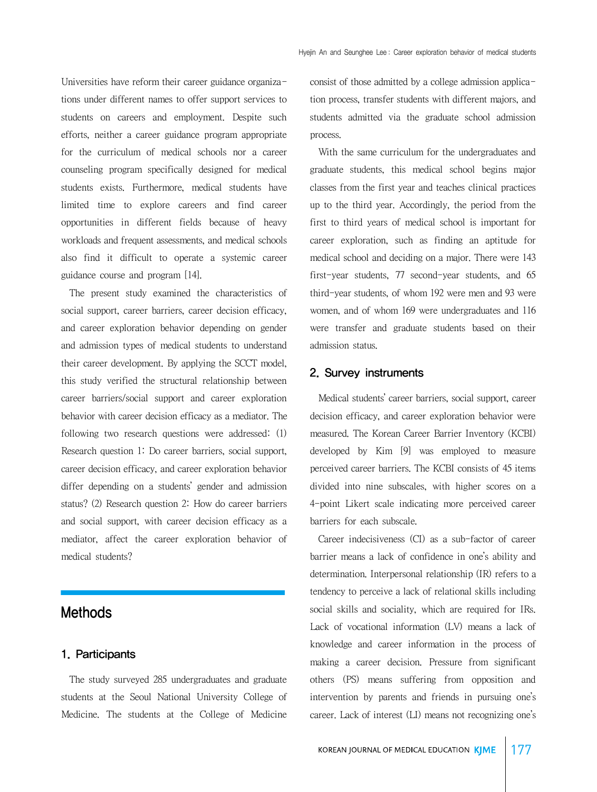Universities have reform their career guidance organizations under different names to offer support services to students on careers and employment. Despite such efforts, neither a career guidance program appropriate for the curriculum of medical schools nor a career counseling program specifically designed for medical students exists. Furthermore, medical students have limited time to explore careers and find career opportunities in different fields because of heavy workloads and frequent assessments, and medical schools also find it difficult to operate a systemic career guidance course and program [14].

 The present study examined the characteristics of social support, career barriers, career decision efficacy, and career exploration behavior depending on gender and admission types of medical students to understand their career development. By applying the SCCT model, this study verified the structural relationship between career barriers/social support and career exploration behavior with career decision efficacy as a mediator. The following two research questions were addressed: (1) Research question 1: Do career barriers, social support, career decision efficacy, and career exploration behavior differ depending on a students' gender and admission status? (2) Research question 2: How do career barriers and social support, with career decision efficacy as a mediator, affect the career exploration behavior of medical students?

### Methods

#### 1. Participants

 The study surveyed 285 undergraduates and graduate students at the Seoul National University College of Medicine. The students at the College of Medicine

consist of those admitted by a college admission application process, transfer students with different majors, and students admitted via the graduate school admission process.

 With the same curriculum for the undergraduates and graduate students, this medical school begins major classes from the first year and teaches clinical practices up to the third year. Accordingly, the period from the first to third years of medical school is important for career exploration, such as finding an aptitude for medical school and deciding on a major. There were 143 first-year students, 77 second-year students, and 65 third-year students, of whom 192 were men and 93 were women, and of whom 169 were undergraduates and 116 were transfer and graduate students based on their admission status.

#### 2. Survey instruments

 Medical students' career barriers, social support, career decision efficacy, and career exploration behavior were measured. The Korean Career Barrier Inventory (KCBI) developed by Kim [9] was employed to measure perceived career barriers. The KCBI consists of 45 items divided into nine subscales, with higher scores on a 4-point Likert scale indicating more perceived career barriers for each subscale.

 Career indecisiveness (CI) as a sub-factor of career barrier means a lack of confidence in one's ability and determination. Interpersonal relationship (IR) refers to a tendency to perceive a lack of relational skills including social skills and sociality, which are required for IRs. Lack of vocational information (LV) means a lack of knowledge and career information in the process of making a career decision. Pressure from significant others (PS) means suffering from opposition and intervention by parents and friends in pursuing one's career. Lack of interest (LI) means not recognizing one's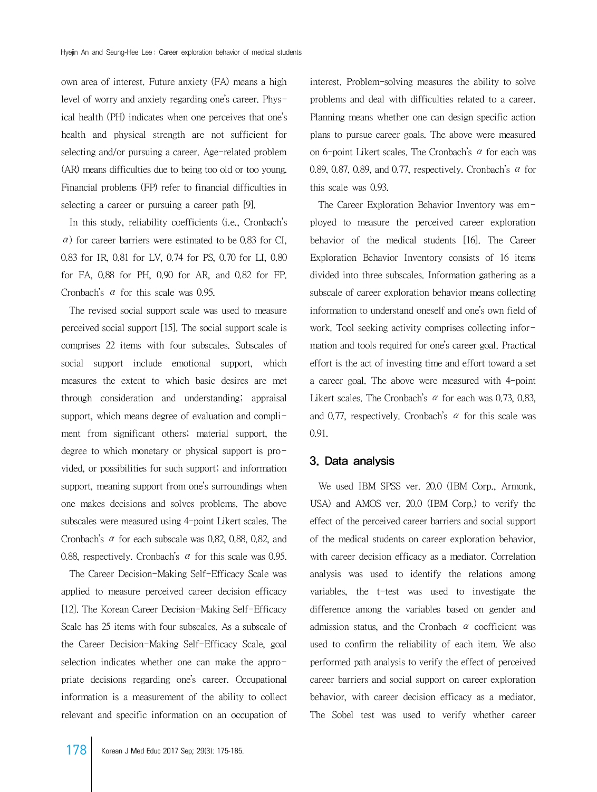own area of interest. Future anxiety (FA) means a high level of worry and anxiety regarding one's career. Physical health (PH) indicates when one perceives that one's health and physical strength are not sufficient for selecting and/or pursuing a career. Age-related problem (AR) means difficulties due to being too old or too young. Financial problems (FP) refer to financial difficulties in selecting a career or pursuing a career path [9].

 In this study, reliability coefficients (i.e., Cronbach's  $\alpha$ ) for career barriers were estimated to be 0.83 for CI. 0.83 for IR, 0.81 for LV, 0.74 for PS, 0.70 for LI, 0.80 for FA, 0.88 for PH, 0.90 for AR, and 0.82 for FP. Cronbach's α for this scale was 0.95.

 The revised social support scale was used to measure perceived social support [15]. The social support scale is comprises 22 items with four subscales. Subscales of social support include emotional support, which measures the extent to which basic desires are met through consideration and understanding; appraisal support, which means degree of evaluation and compliment from significant others; material support, the degree to which monetary or physical support is provided, or possibilities for such support; and information support, meaning support from one's surroundings when one makes decisions and solves problems. The above subscales were measured using 4-point Likert scales. The Cronbach's α for each subscale was 0.82, 0.88, 0.82, and 0.88, respectively. Cronbach's  $\alpha$  for this scale was 0.95.

 The Career Decision-Making Self-Efficacy Scale was applied to measure perceived career decision efficacy [12]. The Korean Career Decision-Making Self-Efficacy Scale has 25 items with four subscales. As a subscale of the Career Decision-Making Self-Efficacy Scale, goal selection indicates whether one can make the appropriate decisions regarding one's career. Occupational information is a measurement of the ability to collect relevant and specific information on an occupation of interest. Problem-solving measures the ability to solve problems and deal with difficulties related to a career. Planning means whether one can design specific action plans to pursue career goals. The above were measured on 6-point Likert scales. The Cronbach's  $\alpha$  for each was 0.89, 0.87, 0.89, and 0.77, respectively. Cronbach's  $\alpha$  for this scale was 0.93.

 The Career Exploration Behavior Inventory was employed to measure the perceived career exploration behavior of the medical students [16]. The Career Exploration Behavior Inventory consists of 16 items divided into three subscales. Information gathering as a subscale of career exploration behavior means collecting information to understand oneself and one's own field of work. Tool seeking activity comprises collecting information and tools required for one's career goal. Practical effort is the act of investing time and effort toward a set a career goal. The above were measured with 4-point Likert scales. The Cronbach's  $\alpha$  for each was 0.73, 0.83, and 0.77, respectively. Cronbach's  $\alpha$  for this scale was 0.91.

#### 3. Data analysis

 We used IBM SPSS ver. 20.0 (IBM Corp., Armonk, USA) and AMOS ver. 20.0 (IBM Corp.) to verify the effect of the perceived career barriers and social support of the medical students on career exploration behavior, with career decision efficacy as a mediator. Correlation analysis was used to identify the relations among variables, the t-test was used to investigate the difference among the variables based on gender and admission status, and the Cronbach  $\alpha$  coefficient was used to confirm the reliability of each item. We also performed path analysis to verify the effect of perceived career barriers and social support on career exploration behavior, with career decision efficacy as a mediator. The Sobel test was used to verify whether career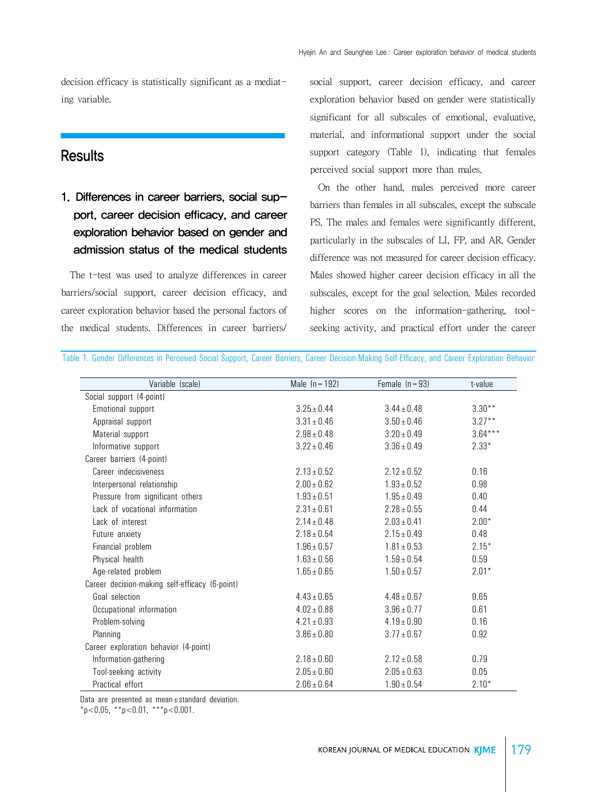decision efficacy is statistically significant as a mediating variable.

#### **Results**

1. Differences in career barriers, social support, career decision efficacy, and career exploration behavior based on gender and admission status of the medical students

 The t-test was used to analyze differences in career barriers/social support, career decision efficacy, and career exploration behavior based the personal factors of the medical students. Differences in career barriers/ social support, career decision efficacy, and career exploration behavior based on gender were statistically significant for all subscales of emotional, evaluative, material, and informational support under the social support category (Table 1), indicating that females perceived social support more than males.

 On the other hand, males perceived more career barriers than females in all subscales, except the subscale PS. The males and females were significantly different, particularly in the subscales of LI, FP, and AR. Gender difference was not measured for career decision efficacy. Males showed higher career decision efficacy in all the subscales, except for the goal selection. Males recorded higher scores on the information-gathering, toolseeking activity, and practical effort under the career

| Variable (scale)                               | Male $(n = 192)$ | Female $(n = 93)$ | t-value   |
|------------------------------------------------|------------------|-------------------|-----------|
| Social support (4-point)                       |                  |                   |           |
| Emotional support                              | $3.25 \pm 0.44$  | $3.44 \pm 0.48$   | $3.30**$  |
| Appraisal support                              | $3.31 \pm 0.46$  | $3.50 \pm 0.46$   | $3.27***$ |
| Material support                               | $2.98 \pm 0.48$  | $3.20 \pm 0.49$   | $3.64***$ |
| Informative support                            | $3.22 \pm 0.46$  | $3.36 \pm 0.49$   | $2.33*$   |
| Career barriers (4-point)                      |                  |                   |           |
| Career indecisiveness                          | $2.13 \pm 0.52$  | $2.12 \pm 0.52$   | 0.16      |
| Interpersonal relationship                     | $2.00 \pm 0.62$  | $1.93 \pm 0.52$   | 0.98      |
| Pressure from significant others               | $1.93 \pm 0.51$  | $1.95 \pm 0.49$   | 0.40      |
| Lack of vocational information                 | $2.31 \pm 0.61$  | $2.28 \pm 0.55$   | 0.44      |
| Lack of interest                               | $2.14 \pm 0.48$  | $2.03 \pm 0.41$   | $2.00*$   |
| Future anxiety                                 | $2.18 \pm 0.54$  | $2.15 \pm 0.49$   | 0.48      |
| Financial problem                              | $1.96 \pm 0.57$  | $1.81 \pm 0.53$   | $2.15*$   |
| Physical health                                | $1.63 \pm 0.56$  | $1.59 \pm 0.54$   | 0.59      |
| Age-related problem                            | $1.65 \pm 0.65$  | $1.50 \pm 0.57$   | $2.01*$   |
| Career decision-making self-efficacy (6-point) |                  |                   |           |
| Goal selection                                 | $4.43 \pm 0.65$  | $4.48 \pm 0.67$   | 0.65      |
| Occupational information                       | $4.02 \pm 0.88$  | $3.96 \pm 0.77$   | 0.61      |
| Problem-solving                                | $4.21 \pm 0.93$  | $4.19 \pm 0.90$   | 0.16      |
| Planning                                       | $3.86 \pm 0.80$  | $3.77 \pm 0.67$   | 0.92      |
| Career exploration behavior (4-point)          |                  |                   |           |
| Information-gathering                          | $2.18 \pm 0.60$  | $2.12 \pm 0.58$   | 0.79      |
| Tool-seeking activity                          | $2.05 \pm 0.60$  | $2.05 \pm 0.63$   | 0.05      |
| Practical effort                               | $2.06 \pm 0.64$  | $1.90 \pm 0.54$   | $2.10*$   |

Table 1. Gender Differences in Perceived Social Support, Career Barriers, Career Decision-Making Self-Efficacy, and Career Exploration Behavior

Data are presented as mean±standard deviation.

 $*p<0.05$ ,  $*p<0.01$ ,  $***p<0.001$ .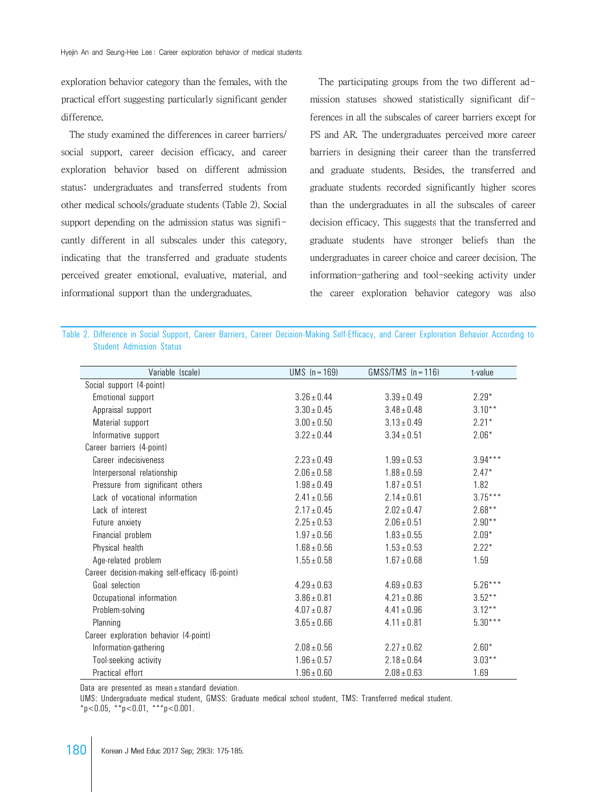exploration behavior category than the females, with the practical effort suggesting particularly significant gender difference.

 The study examined the differences in career barriers/ social support, career decision efficacy, and career exploration behavior based on different admission status: undergraduates and transferred students from other medical schools/graduate students (Table 2). Social support depending on the admission status was significantly different in all subscales under this category, indicating that the transferred and graduate students perceived greater emotional, evaluative, material, and informational support than the undergraduates.

The participating groups from the two different admission statuses showed statistically significant differences in all the subscales of career barriers except for PS and AR. The undergraduates perceived more career barriers in designing their career than the transferred and graduate students. Besides, the transferred and graduate students recorded significantly higher scores than the undergraduates in all the subscales of career decision efficacy. This suggests that the transferred and graduate students have stronger beliefs than the undergraduates in career choice and career decision. The information-gathering and tool-seeking activity under the career exploration behavior category was also

| Variable (scale)                               | $UMS$ (n = 169) | $GMSS/TMS$ (n = 116) | t-value   |
|------------------------------------------------|-----------------|----------------------|-----------|
| Social support (4-point)                       |                 |                      |           |
| Emotional support                              | $3.26 \pm 0.44$ | $3.39 \pm 0.49$      | $2.29*$   |
| Appraisal support                              | $3.30 \pm 0.45$ | $3.48 \pm 0.48$      | $3.10***$ |
| Material support                               | $3.00 \pm 0.50$ | $3.13 \pm 0.49$      | $2.21*$   |
| Informative support                            | $3.22 \pm 0.44$ | $3.34 \pm 0.51$      | $2.06*$   |
| Career barriers (4-point)                      |                 |                      |           |
| Career indecisiveness                          | $2.23 \pm 0.49$ | $1.99 \pm 0.53$      | $3.94***$ |
| Interpersonal relationship                     | $2.06 \pm 0.58$ | $1.88 \pm 0.59$      | $2.47*$   |
| Pressure from significant others               | $1.98 \pm 0.49$ | $1.87 \pm 0.51$      | 1.82      |
| Lack of vocational information                 | $2.41 \pm 0.56$ | $2.14 \pm 0.61$      | $3.75***$ |
| Lack of interest                               | $2.17 \pm 0.45$ | $2.02 \pm 0.47$      | $2.68***$ |
| Future anxiety                                 | $2.25 \pm 0.53$ | $2.06 \pm 0.51$      | $2.90**$  |
| Financial problem                              | $1.97 \pm 0.56$ | $1.83 \pm 0.55$      | $2.09*$   |
| Physical health                                | $1.68 \pm 0.56$ | $1.53 \pm 0.53$      | $2.22*$   |
| Age-related problem                            | $1.55 \pm 0.58$ | $1.67 \pm 0.68$      | 1.59      |
| Career decision-making self-efficacy (6-point) |                 |                      |           |
| Goal selection                                 | $4.29 \pm 0.63$ | $4.69 \pm 0.63$      | $5.26***$ |
| Occupational information                       | $3.86 \pm 0.81$ | $4.21 \pm 0.86$      | $3.52**$  |
| Problem-solving                                | $4.07 \pm 0.87$ | $4.41 \pm 0.96$      | $3.12***$ |
| Planning                                       | $3.65 \pm 0.66$ | $4.11 \pm 0.81$      | $5.30***$ |
| Career exploration behavior (4-point)          |                 |                      |           |
| Information-gathering                          | $2.08 \pm 0.56$ | $2.27 \pm 0.62$      | $2.60*$   |
| Tool-seeking activity                          | $1.96 \pm 0.57$ | $2.18 \pm 0.64$      | $3.03***$ |
| Practical effort                               | $1.96 \pm 0.60$ | $2.08 \pm 0.63$      | 1.69      |

Table 2. Difference in Social Support, Career Barriers, Career Decision-Making Self-Efficacy, and Career Exploration Behavior According to

Data are presented as mean±standard deviation.

UMS: Undergraduate medical student, GMSS: Graduate medical school student, TMS: Transferred medical student.

 $*p < 0.05$ ,  $* p < 0.01$ ,  $* * p < 0.001$ .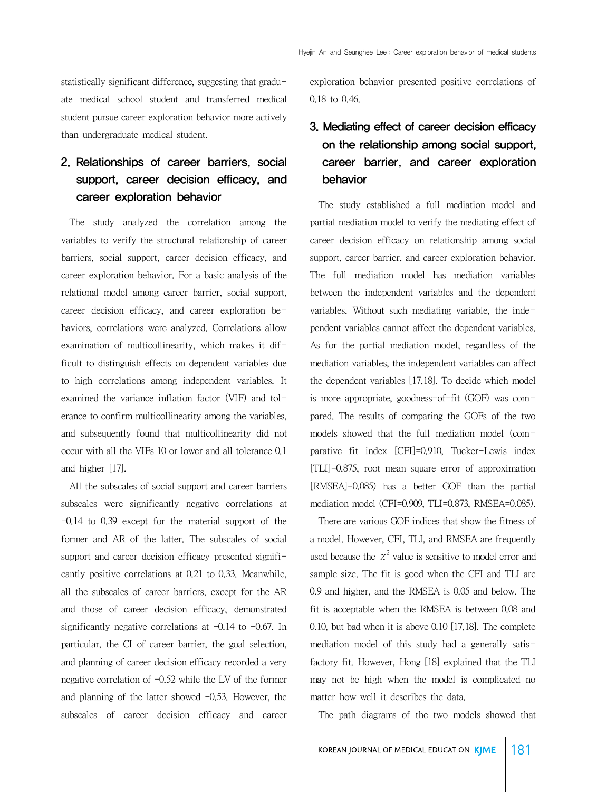statistically significant difference, suggesting that graduate medical school student and transferred medical student pursue career exploration behavior more actively than undergraduate medical student.

### 2. Relationships of career barriers, social support, career decision efficacy, and career exploration behavior

 The study analyzed the correlation among the variables to verify the structural relationship of career barriers, social support, career decision efficacy, and career exploration behavior. For a basic analysis of the relational model among career barrier, social support, career decision efficacy, and career exploration behaviors, correlations were analyzed. Correlations allow examination of multicollinearity, which makes it difficult to distinguish effects on dependent variables due to high correlations among independent variables. It examined the variance inflation factor (VIF) and tolerance to confirm multicollinearity among the variables, and subsequently found that multicollinearity did not occur with all the VIFs 10 or lower and all tolerance 0.1 and higher [17].

 All the subscales of social support and career barriers subscales were significantly negative correlations at -0.14 to 0.39 except for the material support of the former and AR of the latter. The subscales of social support and career decision efficacy presented significantly positive correlations at 0.21 to 0.33. Meanwhile, all the subscales of career barriers, except for the AR and those of career decision efficacy, demonstrated significantly negative correlations at  $-0.14$  to  $-0.67$ . In particular, the CI of career barrier, the goal selection, and planning of career decision efficacy recorded a very negative correlation of  $-0.52$  while the LV of the former and planning of the latter showed  $-0.53$ . However, the subscales of career decision efficacy and career

exploration behavior presented positive correlations of 0.18 to 0.46.

### 3. Mediating effect of career decision efficacy on the relationship among social support, career barrier, and career exploration behavior

 The study established a full mediation model and partial mediation model to verify the mediating effect of career decision efficacy on relationship among social support, career barrier, and career exploration behavior. The full mediation model has mediation variables between the independent variables and the dependent variables. Without such mediating variable, the independent variables cannot affect the dependent variables. As for the partial mediation model, regardless of the mediation variables, the independent variables can affect the dependent variables [17,18]. To decide which model is more appropriate, goodness-of-fit (GOF) was compared. The results of comparing the GOFs of the two models showed that the full mediation model (comparative fit index [CFI]=0.910, Tucker-Lewis index [TLI]=0.875, root mean square error of approximation [RMSEA]=0.085) has a better GOF than the partial mediation model (CFI=0.909, TLI=0.873, RMSEA=0.085).

 There are various GOF indices that show the fitness of a model. However, CFI, TLI, and RMSEA are frequently used because the  $\chi^2$  value is sensitive to model error and sample size. The fit is good when the CFI and TLI are 0.9 and higher, and the RMSEA is 0.05 and below. The fit is acceptable when the RMSEA is between 0.08 and 0.10, but bad when it is above 0.10 [17,18]. The complete mediation model of this study had a generally satisfactory fit. However, Hong [18] explained that the TLI may not be high when the model is complicated no matter how well it describes the data.

The path diagrams of the two models showed that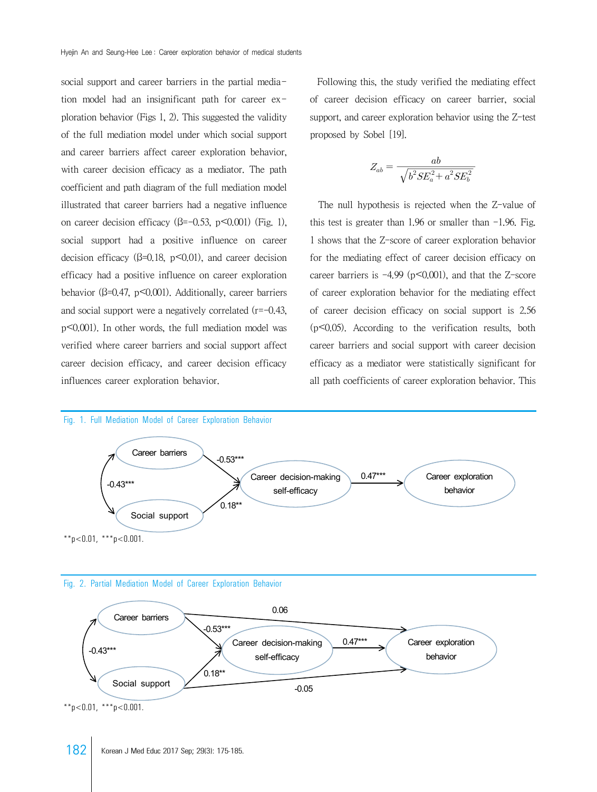social support and career barriers in the partial mediation model had an insignificant path for career exploration behavior (Figs 1, 2). This suggested the validity of the full mediation model under which social support and career barriers affect career exploration behavior, with career decision efficacy as a mediator. The path coefficient and path diagram of the full mediation model illustrated that career barriers had a negative influence on career decision efficacy ( $\beta$ =-0.53, p<0.001) (Fig. 1), social support had a positive influence on career decision efficacy ( $\beta$ =0.18, p < 0.01), and career decision efficacy had a positive influence on career exploration behavior ( $\beta$ =0.47, p<0.001). Additionally, career barriers and social support were a negatively correlated (r=-0.43, p<0.001). In other words, the full mediation model was verified where career barriers and social support affect career decision efficacy, and career decision efficacy influences career exploration behavior.

 Following this, the study verified the mediating effect of career decision efficacy on career barrier, social support, and career exploration behavior using the Z-test proposed by Sobel [19]. s, the study verified the n<br>sion efficacy on career<br>reer exploration behavior up<br>bel [19].<br> $Z_{ab} = \frac{ab}{\sqrt{b^2 SE_a^2 + a^2 SE_b^2}}$ study verified the r<br>fficacy on career<br>ploration behavior<br>9].<br> $\frac{ab}{\sqrt{b^2SE_a^2 + a^2SE_b^2}}$ 

$$
Z_{ab} = \frac{ab}{\sqrt{b^2 SE_a^2 + a^2 SE_b^2}}
$$

 The null hypothesis is rejected when the Z-value of this test is greater than  $1.96$  or smaller than  $-1.96$ . Fig. 1 shows that the Z-score of career exploration behavior for the mediating effect of career decision efficacy on career barriers is  $-4.99$  ( $p \le 0.001$ ), and that the Z-score of career exploration behavior for the mediating effect of career decision efficacy on social support is 2.56  $(p<0.05)$ . According to the verification results, both career barriers and social support with career decision efficacy as a mediator were statistically significant for all path coefficients of career exploration behavior. This

#### Fig. 1. Full Mediation Model of Career Exploration Behavior







 $*$  $p$ <0.01,  $*$  $*$  $p$ <0.001.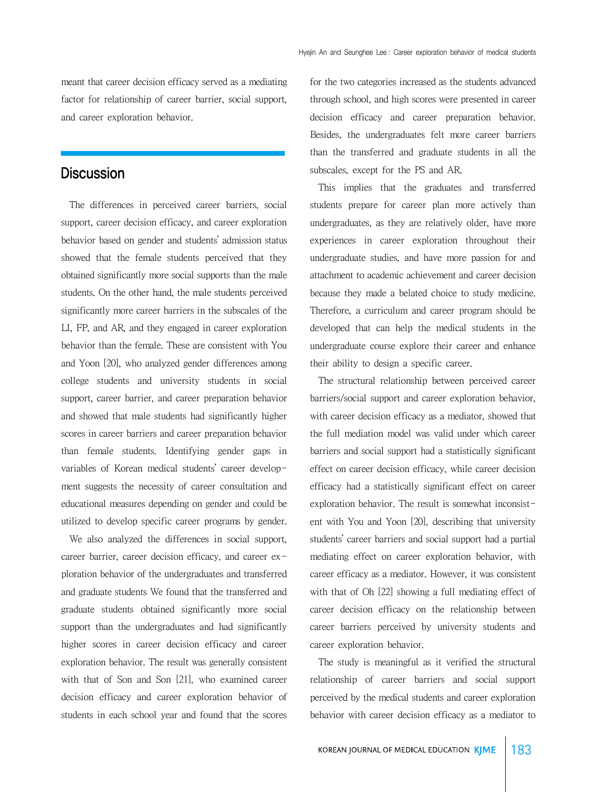meant that career decision efficacy served as a mediating factor for relationship of career barrier, social support, and career exploration behavior.

### **Discussion**

 The differences in perceived career barriers, social support, career decision efficacy, and career exploration behavior based on gender and students' admission status showed that the female students perceived that they obtained significantly more social supports than the male students. On the other hand, the male students perceived significantly more career barriers in the subscales of the LI, FP, and AR, and they engaged in career exploration behavior than the female. These are consistent with You and Yoon [20], who analyzed gender differences among college students and university students in social support, career barrier, and career preparation behavior and showed that male students had significantly higher scores in career barriers and career preparation behavior than female students. Identifying gender gaps in variables of Korean medical students' career development suggests the necessity of career consultation and educational measures depending on gender and could be utilized to develop specific career programs by gender.

 We also analyzed the differences in social support, career barrier, career decision efficacy, and career exploration behavior of the undergraduates and transferred and graduate students We found that the transferred and graduate students obtained significantly more social support than the undergraduates and had significantly higher scores in career decision efficacy and career exploration behavior. The result was generally consistent with that of Son and Son [21], who examined career decision efficacy and career exploration behavior of students in each school year and found that the scores for the two categories increased as the students advanced through school, and high scores were presented in career decision efficacy and career preparation behavior. Besides, the undergraduates felt more career barriers than the transferred and graduate students in all the subscales, except for the PS and AR.

 This implies that the graduates and transferred students prepare for career plan more actively than undergraduates, as they are relatively older, have more experiences in career exploration throughout their undergraduate studies, and have more passion for and attachment to academic achievement and career decision because they made a belated choice to study medicine. Therefore, a curriculum and career program should be developed that can help the medical students in the undergraduate course explore their career and enhance their ability to design a specific career.

 The structural relationship between perceived career barriers/social support and career exploration behavior, with career decision efficacy as a mediator, showed that the full mediation model was valid under which career barriers and social support had a statistically significant effect on career decision efficacy, while career decision efficacy had a statistically significant effect on career exploration behavior. The result is somewhat inconsistent with You and Yoon [20], describing that university students' career barriers and social support had a partial mediating effect on career exploration behavior, with career efficacy as a mediator. However, it was consistent with that of Oh [22] showing a full mediating effect of career decision efficacy on the relationship between career barriers perceived by university students and career exploration behavior.

 The study is meaningful as it verified the structural relationship of career barriers and social support perceived by the medical students and career exploration behavior with career decision efficacy as a mediator to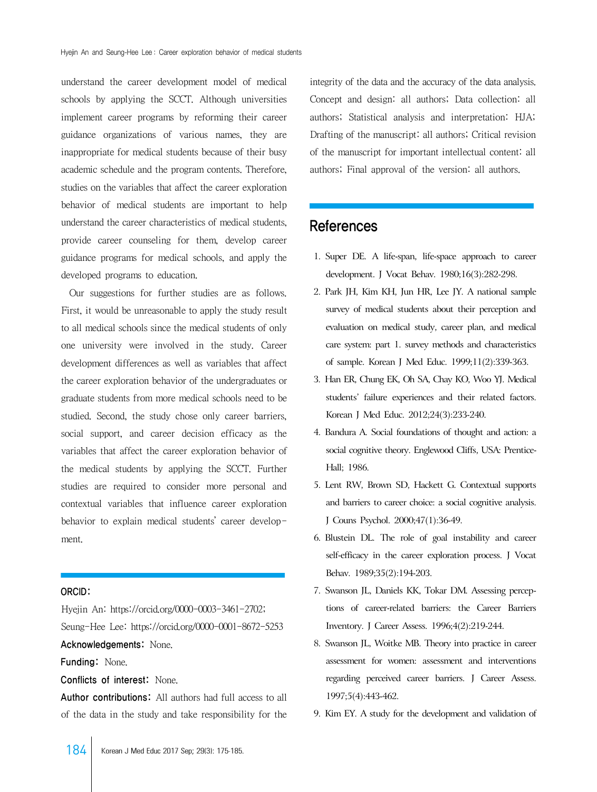understand the career development model of medical schools by applying the SCCT. Although universities implement career programs by reforming their career guidance organizations of various names, they are inappropriate for medical students because of their busy academic schedule and the program contents. Therefore, studies on the variables that affect the career exploration behavior of medical students are important to help understand the career characteristics of medical students, provide career counseling for them, develop career guidance programs for medical schools, and apply the developed programs to education.

 Our suggestions for further studies are as follows. First, it would be unreasonable to apply the study result to all medical schools since the medical students of only one university were involved in the study. Career development differences as well as variables that affect the career exploration behavior of the undergraduates or graduate students from more medical schools need to be studied. Second, the study chose only career barriers, social support, and career decision efficacy as the variables that affect the career exploration behavior of the medical students by applying the SCCT. Further studies are required to consider more personal and contextual variables that influence career exploration behavior to explain medical students' career development.

#### ORCID:

Hyejin An: https://orcid.org/0000-0003-3461-2702; Seung-Hee Lee: https://orcid.org/0000-0001-8672-5253 Acknowledgements: None.

Funding: None.

Conflicts of interest: None.

Author contributions: All authors had full access to all of the data in the study and take responsibility for the

integrity of the data and the accuracy of the data analysis. Concept and design: all authors; Data collection: all authors; Statistical analysis and interpretation: HJA; Drafting of the manuscript: all authors; Critical revision of the manuscript for important intellectual content: all authors; Final approval of the version: all authors.

### References

- 1. Super DE. A life-span, life-space approach to career development. J Vocat Behav. 1980;16(3):282-298.
- 2. Park JH, Kim KH, Jun HR, Lee JY. A national sample survey of medical students about their perception and evaluation on medical study, career plan, and medical care system: part 1. survey methods and characteristics of sample. Korean J Med Educ. 1999;11(2):339-363.
- 3. Han ER, Chung EK, Oh SA, Chay KO, Woo YJ. Medical students' failure experiences and their related factors. Korean J Med Educ. 2012;24(3):233-240.
- 4. Bandura A. Social foundations of thought and action: a social cognitive theory. Englewood Cliffs, USA: Prentice-Hall; 1986.
- 5. Lent RW, Brown SD, Hackett G. Contextual supports and barriers to career choice: a social cognitive analysis. J Couns Psychol. 2000;47(1):36-49.
- 6. Blustein DL. The role of goal instability and career self-efficacy in the career exploration process. J Vocat Behav. 1989;35(2):194-203.
- 7. Swanson JL, Daniels KK, Tokar DM. Assessing perceptions of career-related barriers: the Career Barriers Inventory. J Career Assess. 1996;4(2):219-244.
- 8. Swanson JL, Woitke MB. Theory into practice in career assessment for women: assessment and interventions regarding perceived career barriers. J Career Assess. 1997;5(4):443-462.
- 9. Kim EY. A study for the development and validation of